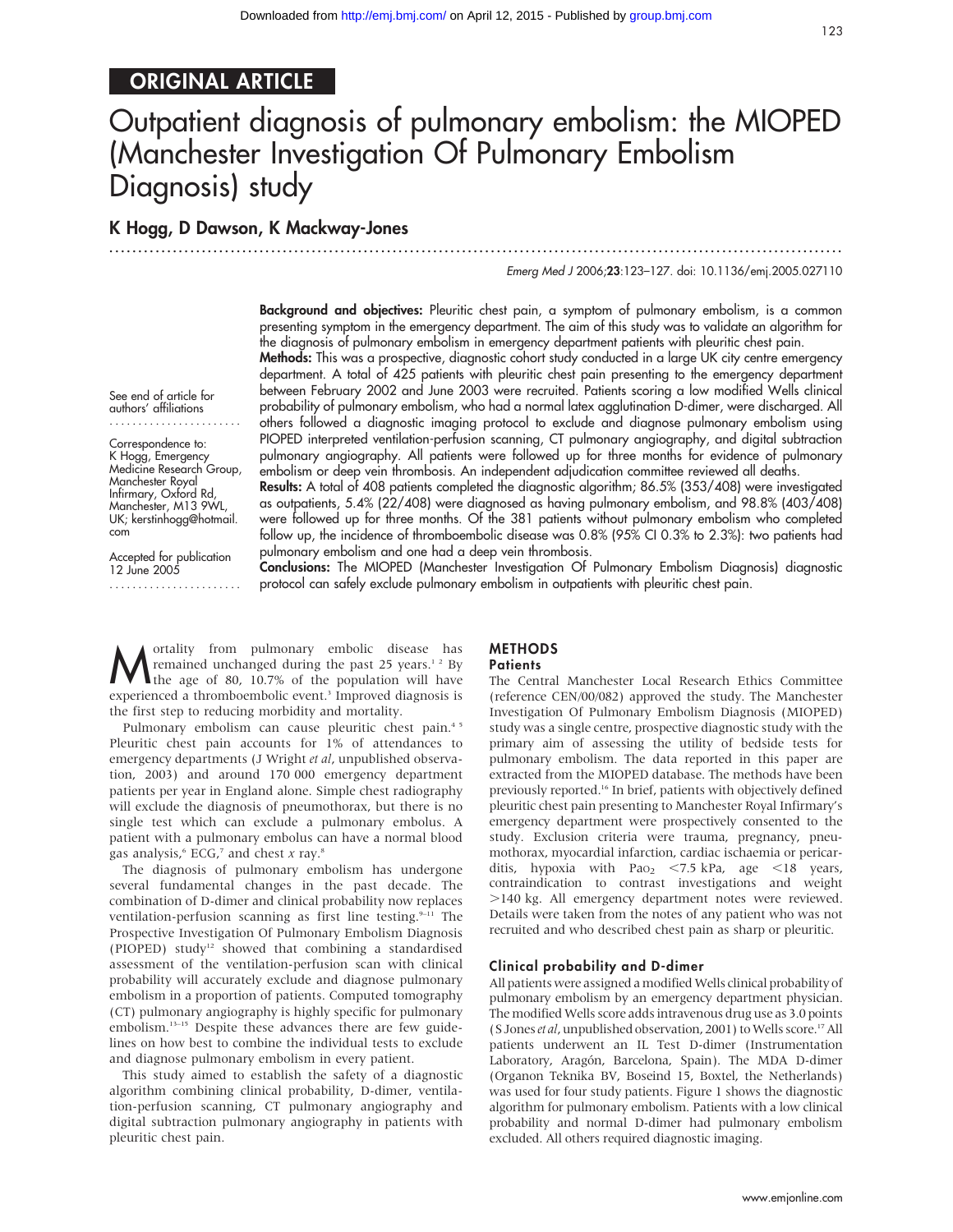# ORIGINAL ARTICLE

# Outpatient diagnosis of pulmonary embolism: the MIOPED (Manchester Investigation Of Pulmonary Embolism Diagnosis) study

# K Hogg, D Dawson, K Mackway-Jones

.............................................................................................................................. . Emerg Med J 2006;23:123–127. doi: 10.1136/emj.2005.027110

> Background and objectives: Pleuritic chest pain, a symptom of pulmonary embolism, is a common presenting symptom in the emergency department. The aim of this study was to validate an algorithm for the diagnosis of pulmonary embolism in emergency department patients with pleuritic chest pain.

> Methods: This was a prospective, diagnostic cohort study conducted in a large UK city centre emergency department. A total of 425 patients with pleuritic chest pain presenting to the emergency department between February 2002 and June 2003 were recruited. Patients scoring a low modified Wells clinical probability of pulmonary embolism, who had a normal latex agglutination D-dimer, were discharged. All others followed a diagnostic imaging protocol to exclude and diagnose pulmonary embolism using PIOPED interpreted ventilation-perfusion scanning, CT pulmonary angiography, and digital subtraction pulmonary angiography. All patients were followed up for three months for evidence of pulmonary embolism or deep vein thrombosis. An independent adjudication committee reviewed all deaths.

> Results: A total of 408 patients completed the diagnostic algorithm; 86.5% (353/408) were investigated as outpatients, 5.4% (22/408) were diagnosed as having pulmonary embolism, and 98.8% (403/408) were followed up for three months. Of the 381 patients without pulmonary embolism who completed follow up, the incidence of thromboembolic disease was 0.8% (95% CI 0.3% to 2.3%): two patients had pulmonary embolism and one had a deep vein thrombosis.

> Conclusions: The MIOPED (Manchester Investigation Of Pulmonary Embolism Diagnosis) diagnostic protocol can safely exclude pulmonary embolism in outpatients with pleuritic chest pain.

**M** ortality from pulmonary embolic disease has<br>the age of 80, 10.7% of the population will have<br>experimented a thrombolic supper interval disease is in remained unchanged during the past  $25$  years.<sup>1,2</sup> By experienced a thromboembolic event.<sup>3</sup> Improved diagnosis is the first step to reducing morbidity and mortality.

Pulmonary embolism can cause pleuritic chest pain.<sup>45</sup> Pleuritic chest pain accounts for 1% of attendances to emergency departments (J Wright et al, unpublished observation, 2003) and around 170 000 emergency department patients per year in England alone. Simple chest radiography will exclude the diagnosis of pneumothorax, but there is no single test which can exclude a pulmonary embolus. A patient with a pulmonary embolus can have a normal blood gas analysis, $6 \text{ ECG}, 7$  and chest x ray.<sup>8</sup>

The diagnosis of pulmonary embolism has undergone several fundamental changes in the past decade. The combination of D-dimer and clinical probability now replaces ventilation-perfusion scanning as first line testing.<sup>9-11</sup> The Prospective Investigation Of Pulmonary Embolism Diagnosis (PIOPED) study<sup>12</sup> showed that combining a standardised assessment of the ventilation-perfusion scan with clinical probability will accurately exclude and diagnose pulmonary embolism in a proportion of patients. Computed tomography (CT) pulmonary angiography is highly specific for pulmonary embolism.<sup>13-15</sup> Despite these advances there are few guidelines on how best to combine the individual tests to exclude and diagnose pulmonary embolism in every patient.

This study aimed to establish the safety of a diagnostic algorithm combining clinical probability, D-dimer, ventilation-perfusion scanning, CT pulmonary angiography and digital subtraction pulmonary angiography in patients with pleuritic chest pain.

# **METHODS**

### **Patients**

The Central Manchester Local Research Ethics Committee (reference CEN/00/082) approved the study. The Manchester Investigation Of Pulmonary Embolism Diagnosis (MIOPED) study was a single centre, prospective diagnostic study with the primary aim of assessing the utility of bedside tests for pulmonary embolism. The data reported in this paper are extracted from the MIOPED database. The methods have been previously reported.<sup>16</sup> In brief, patients with objectively defined pleuritic chest pain presenting to Manchester Royal Infirmary's emergency department were prospectively consented to the study. Exclusion criteria were trauma, pregnancy, pneumothorax, myocardial infarction, cardiac ischaemia or pericarditis, hypoxia with Pao<sub>2</sub> <7.5 kPa, age <18 years, contraindication to contrast investigations and weight .140 kg. All emergency department notes were reviewed. Details were taken from the notes of any patient who was not recruited and who described chest pain as sharp or pleuritic.

#### Clinical probability and D-dimer

All patients were assigned a modified Wells clinical probability of pulmonary embolism by an emergency department physician. The modified Wells score adds intravenous drug use as 3.0 points (S Jones et al, unpublished observation, 2001) to Wells score.17All patients underwent an IL Test D-dimer (Instrumentation Laboratory, Aragón, Barcelona, Spain). The MDA D-dimer (Organon Teknika BV, Boseind 15, Boxtel, the Netherlands) was used for four study patients. Figure 1 shows the diagnostic algorithm for pulmonary embolism. Patients with a low clinical probability and normal D-dimer had pulmonary embolism excluded. All others required diagnostic imaging.

www.emjonline.com

See end of article for authors' affiliations .......................

Correspondence to: K Hogg, Emergency Medicine Research Group, Manchester Royal Infirmary, Oxford Rd, Manchester, M13 9WL, UK; kerstinhogg@hotmail. com

Accepted for publication 12 June 2005

.......................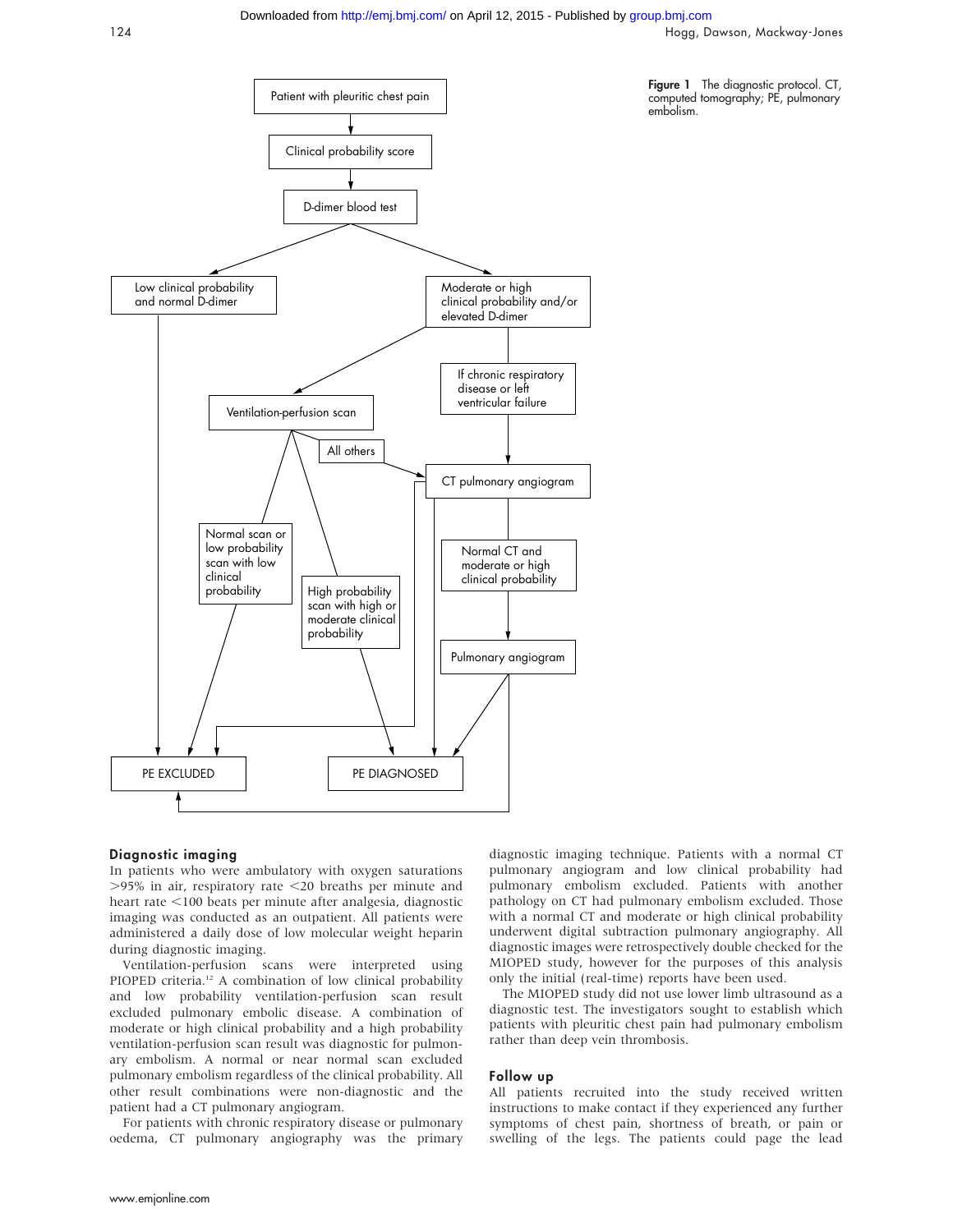### Downloaded from<http://emj.bmj.com/>on April 12, 2015 - Published by [group.bmj.com](http://group.bmj.com)

124 Hogg, Dawson, Mackway-Jones

Figure 1 The diagnostic protocol. CT, computed tomography; PE, pulmonary

embolism.



## Diagnostic imaging

In patients who were ambulatory with oxygen saturations  $>95\%$  in air, respiratory rate  $<$  20 breaths per minute and heart rate  $<$ 100 beats per minute after analgesia, diagnostic imaging was conducted as an outpatient. All patients were administered a daily dose of low molecular weight heparin during diagnostic imaging.

Ventilation-perfusion scans were interpreted using PIOPED criteria.<sup>12</sup> A combination of low clinical probability and low probability ventilation-perfusion scan result excluded pulmonary embolic disease. A combination of moderate or high clinical probability and a high probability ventilation-perfusion scan result was diagnostic for pulmonary embolism. A normal or near normal scan excluded pulmonary embolism regardless of the clinical probability. All other result combinations were non-diagnostic and the patient had a CT pulmonary angiogram.

For patients with chronic respiratory disease or pulmonary oedema, CT pulmonary angiography was the primary diagnostic imaging technique. Patients with a normal CT pulmonary angiogram and low clinical probability had pulmonary embolism excluded. Patients with another pathology on CT had pulmonary embolism excluded. Those with a normal CT and moderate or high clinical probability underwent digital subtraction pulmonary angiography. All diagnostic images were retrospectively double checked for the MIOPED study, however for the purposes of this analysis only the initial (real-time) reports have been used.

The MIOPED study did not use lower limb ultrasound as a diagnostic test. The investigators sought to establish which patients with pleuritic chest pain had pulmonary embolism rather than deep vein thrombosis.

#### Follow up

All patients recruited into the study received written instructions to make contact if they experienced any further symptoms of chest pain, shortness of breath, or pain or swelling of the legs. The patients could page the lead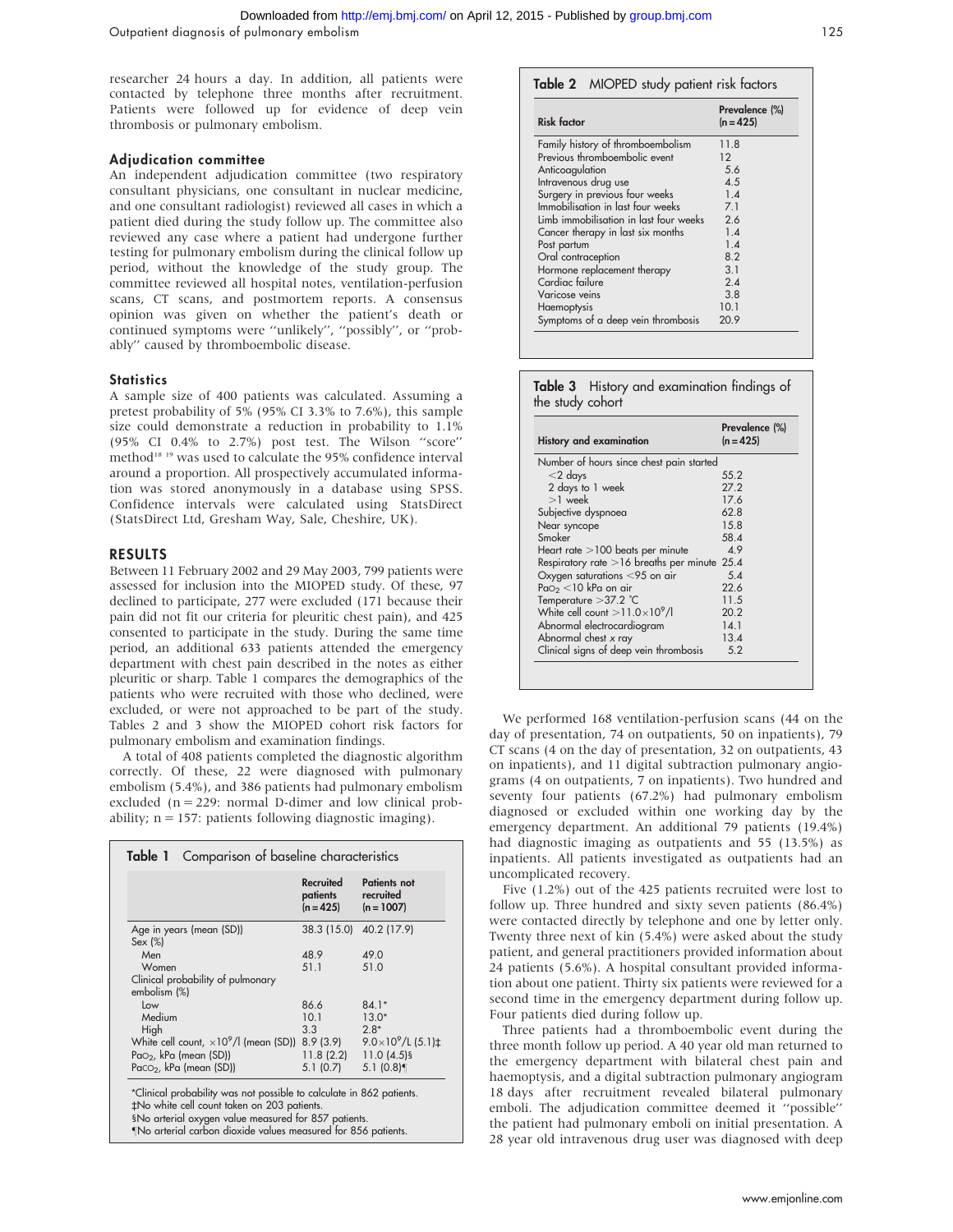researcher 24 hours a day. In addition, all patients were contacted by telephone three months after recruitment. Patients were followed up for evidence of deep vein thrombosis or pulmonary embolism.

#### Adjudication committee

An independent adjudication committee (two respiratory consultant physicians, one consultant in nuclear medicine, and one consultant radiologist) reviewed all cases in which a patient died during the study follow up. The committee also reviewed any case where a patient had undergone further testing for pulmonary embolism during the clinical follow up period, without the knowledge of the study group. The committee reviewed all hospital notes, ventilation-perfusion scans, CT scans, and postmortem reports. A consensus opinion was given on whether the patient's death or continued symptoms were ''unlikely'', ''possibly'', or ''probably'' caused by thromboembolic disease.

#### **Statistics**

A sample size of 400 patients was calculated. Assuming a pretest probability of 5% (95% CI 3.3% to 7.6%), this sample size could demonstrate a reduction in probability to 1.1% (95% CI 0.4% to 2.7%) post test. The Wilson ''score'' method<sup>18 19</sup> was used to calculate the 95% confidence interval around a proportion. All prospectively accumulated information was stored anonymously in a database using SPSS. Confidence intervals were calculated using StatsDirect (StatsDirect Ltd, Gresham Way, Sale, Cheshire, UK).

#### RESULTS

Between 11 February 2002 and 29 May 2003, 799 patients were assessed for inclusion into the MIOPED study. Of these, 97 declined to participate, 277 were excluded (171 because their pain did not fit our criteria for pleuritic chest pain), and 425 consented to participate in the study. During the same time period, an additional 633 patients attended the emergency department with chest pain described in the notes as either pleuritic or sharp. Table 1 compares the demographics of the patients who were recruited with those who declined, were excluded, or were not approached to be part of the study. Tables 2 and 3 show the MIOPED cohort risk factors for pulmonary embolism and examination findings.

A total of 408 patients completed the diagnostic algorithm correctly. Of these, 22 were diagnosed with pulmonary embolism (5.4%), and 386 patients had pulmonary embolism excluded (n = 229: normal D-dimer and low clinical probability;  $n = 157$ : patients following diagnostic imaging).

|                                                         | Recruited<br>patients<br>$(n=425)$ | <b>Patients not</b><br>recruited<br>$(n = 1007)$ |
|---------------------------------------------------------|------------------------------------|--------------------------------------------------|
| Age in years (mean (SD))                                |                                    | 38.3 (15.0) 40.2 (17.9)                          |
| Sex (%)                                                 |                                    |                                                  |
| Men                                                     | 48.9                               | 49.0                                             |
| Women                                                   | 51.1                               | 51.0                                             |
| Clinical probability of pulmonary<br>embolism (%)       |                                    |                                                  |
| Low                                                     | 86.6                               | $84.1*$                                          |
| Medium                                                  | 10.1                               | $13.0*$                                          |
| High                                                    | 3.3                                | $2.8*$                                           |
| White cell count, $\times10^9$ /l (mean (SD)) 8.9 (3.9) |                                    | $9.0\times10^{9}$ /L (5.1) $\pm$                 |
| Pao <sub>2</sub> , kPa (mean (SD))                      | 11.8(2.2)                          | $11.0(4.5)$ §                                    |
| Paco <sub>2</sub> , kPa (mean (SD))                     | 5.1(0.7)                           | 5.1(0.8)                                         |

### Table 2 MIOPED study patient risk factors

| <b>Risk factor</b>                     | Prevalence (%)<br>$(n = 425)$ |
|----------------------------------------|-------------------------------|
| Family history of thromboembolism      | 11.8                          |
| Previous thromboembolic event          | $12 \overline{ }$             |
| Anticoagulation                        | 5.6                           |
| Intravenous drug use                   | 4.5                           |
| Surgery in previous four weeks         | 1.4                           |
| Immobilisation in last four weeks      | 7.1                           |
| Limb immobilisation in last four weeks | 2.6                           |
| Cancer therapy in last six months      | 1.4                           |
| Post partum                            | 1.4                           |
| Oral contraception                     | 82                            |
| Hormone replacement therapy            | 3.1                           |
| Cardiac failure                        | 2.4                           |
| Varicose veins                         | 3.8                           |
| Haemoptysis                            | 10.1                          |
| Symptoms of a deep vein thrombosis     | 20.9                          |

|                  |  | Table 3 History and examination findings of |  |
|------------------|--|---------------------------------------------|--|
| the study cohort |  |                                             |  |

| <b>History and examination</b>                 | Prevalence (%)<br>$(n = 425)$ |
|------------------------------------------------|-------------------------------|
| Number of hours since chest pain started       |                               |
| $<$ 2 days                                     | 55.2                          |
| 2 days to 1 week                               | 27.2                          |
| $>1$ week                                      | 17.6                          |
| Subjective dyspnoea                            | 628                           |
| Near syncope                                   | 15.8                          |
| Smoker                                         | 58.4                          |
| Heart rate >100 beats per minute               | 49                            |
| Respiratory rate $>16$ breaths per minute 25.4 |                               |
| Oxygen saturations $<$ 95 on air               | 5.4                           |
| $PaO2 < 10$ kPa on air                         | 22.6                          |
| Temperature $>37.2$ °C                         | 11.5                          |
| White cell count $>11.0\times10^{9}$ /l        | 20.2                          |
| Abnormal electrocardiogram                     | 14.1                          |
| Abnormal chest x ray                           | 13.4                          |
| Clinical signs of deep vein thrombosis         | 5.2                           |

We performed 168 ventilation-perfusion scans (44 on the day of presentation, 74 on outpatients, 50 on inpatients), 79 CT scans (4 on the day of presentation, 32 on outpatients, 43 on inpatients), and 11 digital subtraction pulmonary angiograms (4 on outpatients, 7 on inpatients). Two hundred and seventy four patients (67.2%) had pulmonary embolism diagnosed or excluded within one working day by the emergency department. An additional 79 patients (19.4%) had diagnostic imaging as outpatients and 55 (13.5%) as inpatients. All patients investigated as outpatients had an uncomplicated recovery.

Five (1.2%) out of the 425 patients recruited were lost to follow up. Three hundred and sixty seven patients (86.4%) were contacted directly by telephone and one by letter only. Twenty three next of kin (5.4%) were asked about the study patient, and general practitioners provided information about 24 patients (5.6%). A hospital consultant provided information about one patient. Thirty six patients were reviewed for a second time in the emergency department during follow up. Four patients died during follow up.

Three patients had a thromboembolic event during the three month follow up period. A 40 year old man returned to the emergency department with bilateral chest pain and haemoptysis, and a digital subtraction pulmonary angiogram 18 days after recruitment revealed bilateral pulmonary emboli. The adjudication committee deemed it ''possible'' the patient had pulmonary emboli on initial presentation. A 28 year old intravenous drug user was diagnosed with deep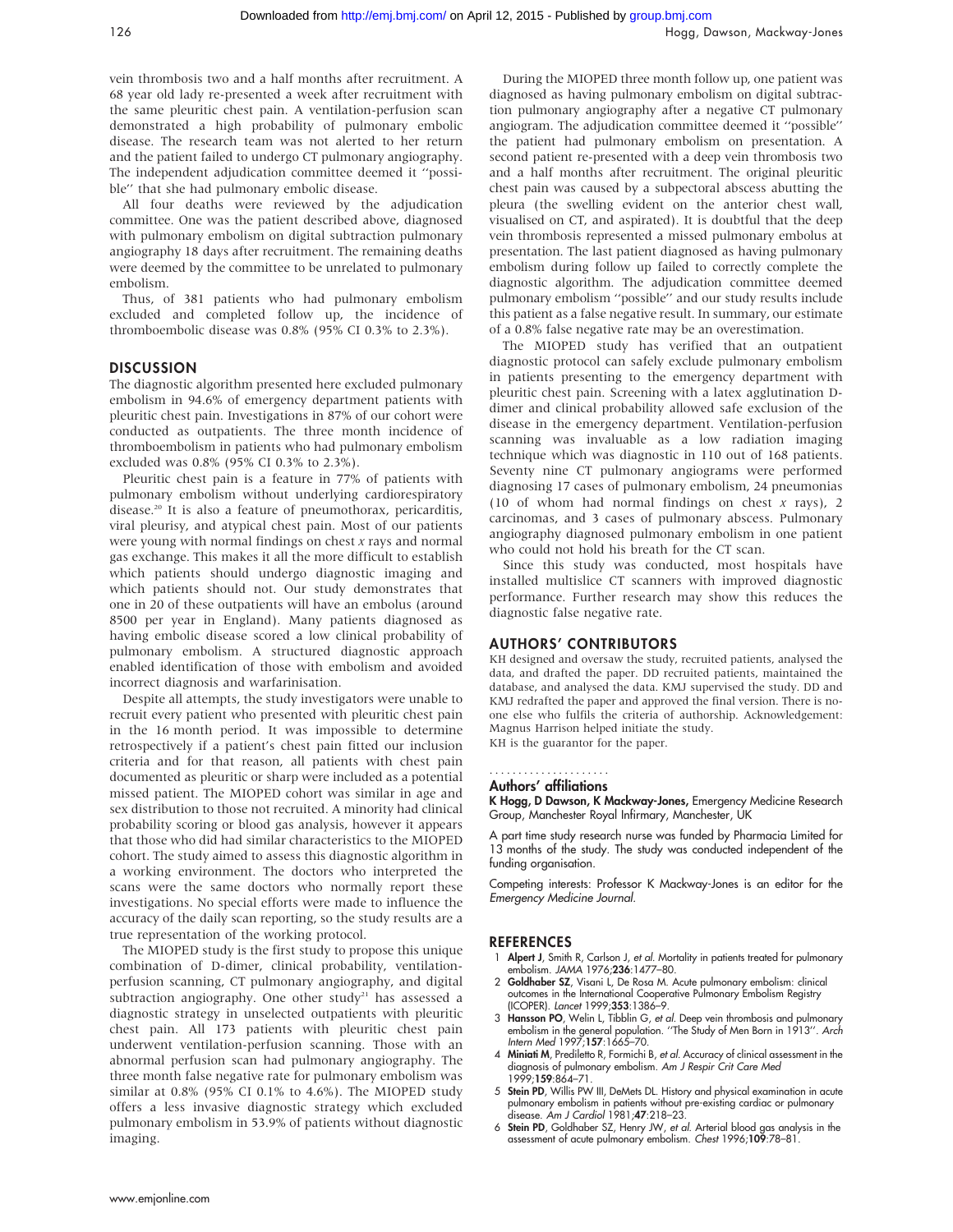vein thrombosis two and a half months after recruitment. A 68 year old lady re-presented a week after recruitment with the same pleuritic chest pain. A ventilation-perfusion scan demonstrated a high probability of pulmonary embolic disease. The research team was not alerted to her return and the patient failed to undergo CT pulmonary angiography. The independent adjudication committee deemed it ''possible'' that she had pulmonary embolic disease.

All four deaths were reviewed by the adjudication committee. One was the patient described above, diagnosed with pulmonary embolism on digital subtraction pulmonary angiography 18 days after recruitment. The remaining deaths were deemed by the committee to be unrelated to pulmonary embolism.

Thus, of 381 patients who had pulmonary embolism excluded and completed follow up, the incidence of thromboembolic disease was 0.8% (95% CI 0.3% to 2.3%).

## **DISCUSSION**

The diagnostic algorithm presented here excluded pulmonary embolism in 94.6% of emergency department patients with pleuritic chest pain. Investigations in 87% of our cohort were conducted as outpatients. The three month incidence of thromboembolism in patients who had pulmonary embolism excluded was 0.8% (95% CI 0.3% to 2.3%).

Pleuritic chest pain is a feature in 77% of patients with pulmonary embolism without underlying cardiorespiratory disease.20 It is also a feature of pneumothorax, pericarditis, viral pleurisy, and atypical chest pain. Most of our patients were young with normal findings on chest  $x$  rays and normal gas exchange. This makes it all the more difficult to establish which patients should undergo diagnostic imaging and which patients should not. Our study demonstrates that one in 20 of these outpatients will have an embolus (around 8500 per year in England). Many patients diagnosed as having embolic disease scored a low clinical probability of pulmonary embolism. A structured diagnostic approach enabled identification of those with embolism and avoided incorrect diagnosis and warfarinisation.

Despite all attempts, the study investigators were unable to recruit every patient who presented with pleuritic chest pain in the 16 month period. It was impossible to determine retrospectively if a patient's chest pain fitted our inclusion criteria and for that reason, all patients with chest pain documented as pleuritic or sharp were included as a potential missed patient. The MIOPED cohort was similar in age and sex distribution to those not recruited. A minority had clinical probability scoring or blood gas analysis, however it appears that those who did had similar characteristics to the MIOPED cohort. The study aimed to assess this diagnostic algorithm in a working environment. The doctors who interpreted the scans were the same doctors who normally report these investigations. No special efforts were made to influence the accuracy of the daily scan reporting, so the study results are a true representation of the working protocol.

The MIOPED study is the first study to propose this unique combination of D-dimer, clinical probability, ventilationperfusion scanning, CT pulmonary angiography, and digital subtraction angiography. One other study<sup>21</sup> has assessed a diagnostic strategy in unselected outpatients with pleuritic chest pain. All 173 patients with pleuritic chest pain underwent ventilation-perfusion scanning. Those with an abnormal perfusion scan had pulmonary angiography. The three month false negative rate for pulmonary embolism was similar at 0.8% (95% CI 0.1% to 4.6%). The MIOPED study offers a less invasive diagnostic strategy which excluded pulmonary embolism in 53.9% of patients without diagnostic imaging.

During the MIOPED three month follow up, one patient was diagnosed as having pulmonary embolism on digital subtraction pulmonary angiography after a negative CT pulmonary angiogram. The adjudication committee deemed it ''possible'' the patient had pulmonary embolism on presentation. A second patient re-presented with a deep vein thrombosis two and a half months after recruitment. The original pleuritic chest pain was caused by a subpectoral abscess abutting the pleura (the swelling evident on the anterior chest wall, visualised on CT, and aspirated). It is doubtful that the deep vein thrombosis represented a missed pulmonary embolus at presentation. The last patient diagnosed as having pulmonary embolism during follow up failed to correctly complete the diagnostic algorithm. The adjudication committee deemed pulmonary embolism ''possible'' and our study results include this patient as a false negative result. In summary, our estimate of a 0.8% false negative rate may be an overestimation.

The MIOPED study has verified that an outpatient diagnostic protocol can safely exclude pulmonary embolism in patients presenting to the emergency department with pleuritic chest pain. Screening with a latex agglutination Ddimer and clinical probability allowed safe exclusion of the disease in the emergency department. Ventilation-perfusion scanning was invaluable as a low radiation imaging technique which was diagnostic in 110 out of 168 patients. Seventy nine CT pulmonary angiograms were performed diagnosing 17 cases of pulmonary embolism, 24 pneumonias (10 of whom had normal findings on chest  $x$  rays), 2 carcinomas, and 3 cases of pulmonary abscess. Pulmonary angiography diagnosed pulmonary embolism in one patient who could not hold his breath for the CT scan.

Since this study was conducted, most hospitals have installed multislice CT scanners with improved diagnostic performance. Further research may show this reduces the diagnostic false negative rate.

#### AUTHORS' CONTRIBUTORS

KH designed and oversaw the study, recruited patients, analysed the data, and drafted the paper. DD recruited patients, maintained the database, and analysed the data. KMJ supervised the study. DD and KMJ redrafted the paper and approved the final version. There is noone else who fulfils the criteria of authorship. Acknowledgement: Magnus Harrison helped initiate the study.

KH is the guarantor for the paper.

#### Authors' affiliations .....................

K Hogg, D Dawson, K Mackway-Jones, Emergency Medicine Research Group, Manchester Royal Infirmary, Manchester, UK

A part time study research nurse was funded by Pharmacia Limited for 13 months of the study. The study was conducted independent of the funding organisation.

Competing interests: Professor K Mackway-Jones is an editor for the Emergency Medicine Journal.

#### **REFERENCES**

- 1 Alpert J, Smith R, Carlson J, et al. Mortality in patients treated for pulmonary embolism. JAMA 1976;236:1477–80.
- 2 Goldhaber SZ, Visani L, De Rosa M. Acute pulmonary embolism: clinical outcomes in the International Cooperative Pulmonary Embolism Registry (ICOPER). Lancet 1999;353:1386–9.
- 3 Hansson PO, Welin L, Tibblin G, et al. Deep vein thrombosis and pulmonary embolism in the general population. ''The Study of Men Born in 1913''. Arch Intern Med 1997;157:1665–70.
- 4 Miniati M, Prediletto R, Formichi B, et al. Accuracy of clinical assessment in the diagnosis of pulmonary embolism. Am J Respir Crit Care Med 1999;159:864–71.
- 5 Stein PD, Willis PW III, DeMets DL. History and physical examination in acute pulmonary embolism in patients without pre-existing cardiac or pulmonary disease. Am J Cardiol 1981;47:218–23.
- 6 Stein PD, Goldhaber SZ, Henry JW, et al. Arterial blood gas analysis in the assessment of acute pulmonary embolism. Chest 1996;109:78–81.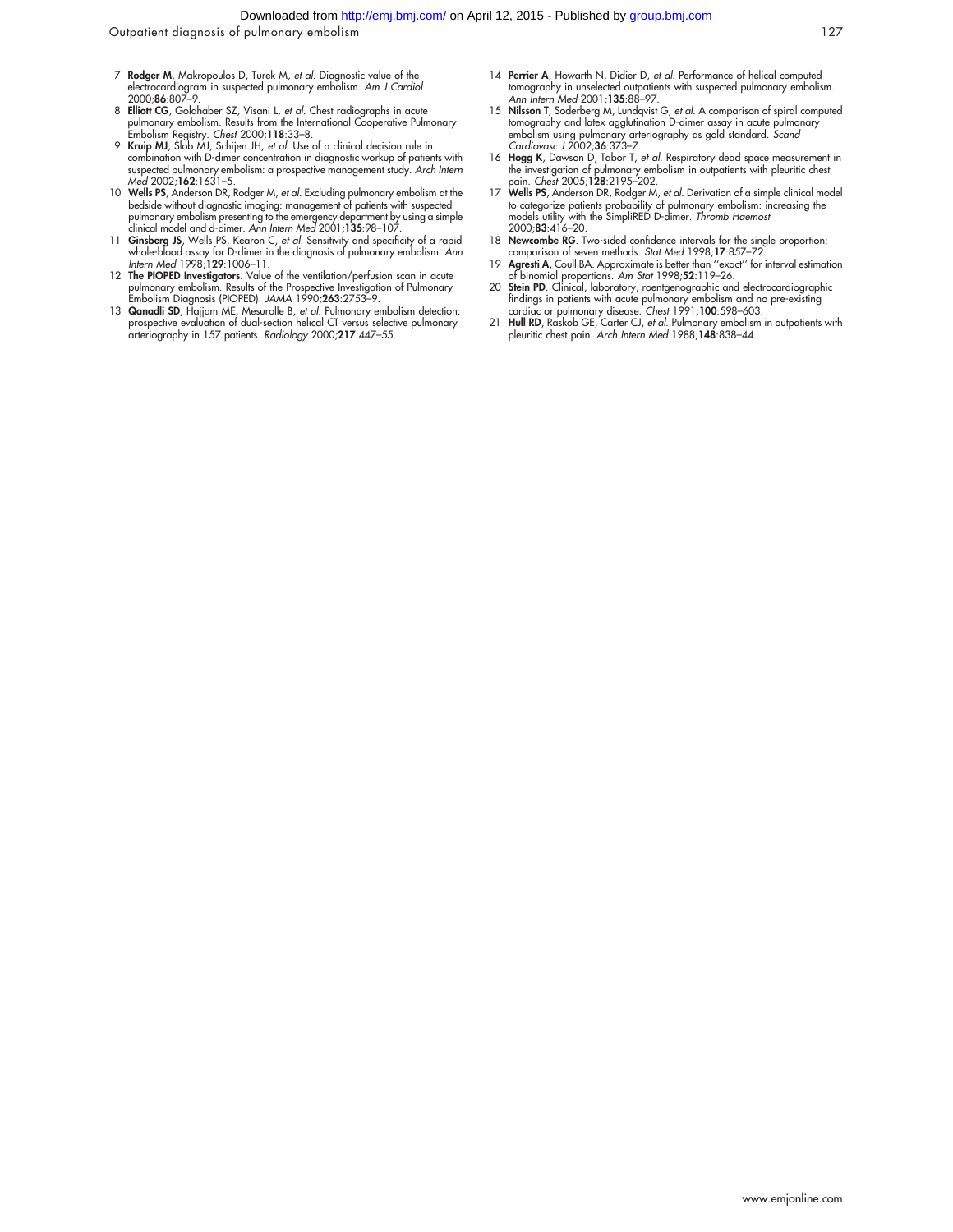- 7 Rodger M, Makropoulos D, Turek M, et al. Diagnostic value of the electrocardiogram in suspected pulmonary embolism. Am J Cardiol 2000;86:807–9.
- 8 Elliott CG, Goldhaber SZ, Visani L, et al. Chest radiographs in acute pulmonary embolism. Results from the International Cooperative Pulmonary Embolism Registry. Chest 2000;118:33–8.
- 9 Kruip MJ, Slob MJ, Schijen JH, et al. Use of a clinical decision rule in combination with D-dimer concentration in diagnostic workup of patients with suspected pulmonary embolism: a prospective management study. Arch Intern Med 2002;162:1631–5.
- 10 Wells PS, Anderson DR, Rodger M, *et al.* Excluding pulmonary embolism at the bedside without diagnostic imaging: management of patients with suspected pulmonary embolism presenting to the emergency department by using
- 11 Ginsberg JS, Wells PS, Kearon C, et al. Sensitivity and specificity of a rapid whole-blood assay for D-dimer in the diagnosis of pulmonary embolism. Ann Intern Med 1998;129:1006-11.
- 12 **The PIOPED Investigators**. Value of the ventilation/perfusion scan in acute pulmonary embolism. Results of the Prospective Investigation of Pulmonary<br>Embolism Diagnosis (PIOPED). JAMA 1990;**263**:2753–9.
- 13 Qanadli SD, Hajjam ME, Mesurolle B, et al. Pulmonary embolism detection: prospective evaluation of dual-section helical CT versus selective pulmonary arteriography in 157 patients. Radiology 2000;217:447–55.
- 14 Perrier A, Howarth N, Didier D, et al. Performance of helical computed tomography in unselected outpatients with suspected pulmonary embolism. Ann Intern Med 2001;135:88–97.
- 15 Nilsson T, Soderberg M, Lundqvist G, et al. A comparison of spiral computed tomography and latex agglutination D-dimer assay in acute pulmonary embolism using pulmonary arteriography as gold standard. Scand Cardiovasc J 2002;36:373–7.
- 16 Hogg K, Dawson D, Tabor T, et al. Respiratory dead space measurement in the investigation of pulmonary embolism in outpatients with pleuritic chest pain. Chest 2005;128:2195–202.
- 17 Wells PS, Anderson DR, Rodger M, et al. Derivation of a simple clinical model to categorize patients probability of pulmonary embolism: increasing the<br>models utility with the SimpliRED D-dimer. *Thromb Haemost* 2000;83:416–20.
- 18 Newcombe RG. Two-sided confidence intervals for the single proportion: comparison of seven methods. Stat Med 1998;17:857–72.
- 19 Agresti A, Coull BA. Approximate is better than ''exact'' for interval estimation of binomial proportions. *Am Stat* 1998;**52**:119–26.<br>20 **Stein PD**. Clinical, laboratory, roentgenographic and electrocardiographic
- findings in patients with acute pulmonary embolism and no pre-existing cardiac or pulmonary disease. Chest 1991;100:598–603.
- 21 Hull RD, Raskob GE, Carter CJ, et al. Pulmonary embolism in outpatients with pleuritic chest pain. Arch Intern Med 1988;148:838–44.